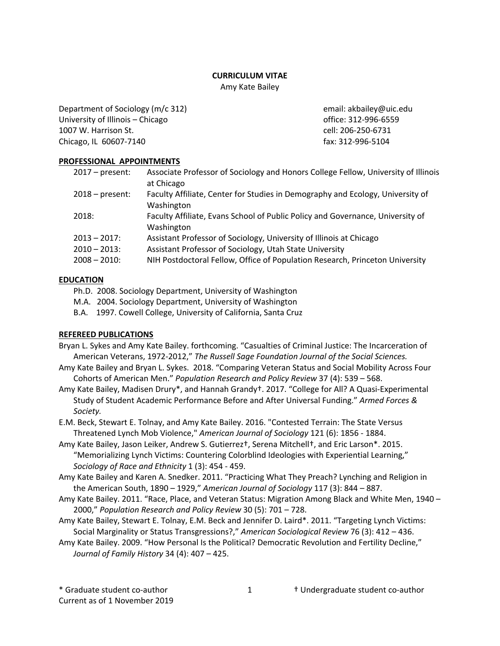### **CURRICULUM VITAE**

Amy Kate Bailey

Department of Sociology (m/c 312) email: akbailey@uic.edu University of Illinois – Chicago office: 312-996-6559 1007 W. Harrison St. cell: 206-250-6731 Chicago, IL 60607-7140 **fax: 312-996-5104** fax: 312-996-5104

# **PROFESSIONAL APPOINTMENTS**

| $2017$ – present: | Associate Professor of Sociology and Honors College Fellow, University of Illinois |
|-------------------|------------------------------------------------------------------------------------|
|                   | at Chicago                                                                         |
| $2018$ – present: | Faculty Affiliate, Center for Studies in Demography and Ecology, University of     |
|                   | Washington                                                                         |
| 2018:             | Faculty Affiliate, Evans School of Public Policy and Governance, University of     |
|                   | Washington                                                                         |
| $2013 - 2017$ :   | Assistant Professor of Sociology, University of Illinois at Chicago                |
| $2010 - 2013$ :   | Assistant Professor of Sociology, Utah State University                            |
| $2008 - 2010$ :   | NIH Postdoctoral Fellow, Office of Population Research, Princeton University       |

# **EDUCATION**

- Ph.D. 2008. Sociology Department, University of Washington
- M.A. 2004. Sociology Department, University of Washington
- B.A. 1997. Cowell College, University of California, Santa Cruz

# **REFEREED PUBLICATIONS**

- Bryan L. Sykes and Amy Kate Bailey. forthcoming. "Casualties of Criminal Justice: The Incarceration of American Veterans, 1972-2012," *The Russell Sage Foundation Journal of the Social Sciences.*
- Amy Kate Bailey and Bryan L. Sykes. 2018. "Comparing Veteran Status and Social Mobility Across Four Cohorts of American Men." *Population Research and Policy Review* 37 (4): 539 – 568.
- Amy Kate Bailey, Madisen Drury\*, and Hannah Grandy†. 2017. "College for All? A Quasi-Experimental Study of Student Academic Performance Before and After Universal Funding." *Armed Forces & Society.*
- E.M. Beck, Stewart E. Tolnay, and Amy Kate Bailey. 2016. "Contested Terrain: The State Versus Threatened Lynch Mob Violence," *American Journal of Sociology* 121 (6): 1856 - 1884.
- Amy Kate Bailey, Jason Leiker, Andrew S. Gutierrez†, Serena Mitchell†, and Eric Larson\*. 2015. "Memorializing Lynch Victims: Countering Colorblind Ideologies with Experiential Learning," *Sociology of Race and Ethnicity* 1 (3): 454 - 459.
- Amy Kate Bailey and Karen A. Snedker. 2011. "Practicing What They Preach? Lynching and Religion in the American South, 1890 – 1929," *American Journal of Sociology* 117 (3): 844 – 887.
- Amy Kate Bailey. 2011. "Race, Place, and Veteran Status: Migration Among Black and White Men, 1940 2000," *Population Research and Policy Review* 30 (5): 701 – 728.
- Amy Kate Bailey, Stewart E. Tolnay, E.M. Beck and Jennifer D. Laird\*. 2011. "Targeting Lynch Victims: Social Marginality or Status Transgressions?," *American Sociological Review* 76 (3): 412 – 436.
- Amy Kate Bailey. 2009. "How Personal Is the Political? Democratic Revolution and Fertility Decline," *Journal of Family History* 34 (4): 407 – 425.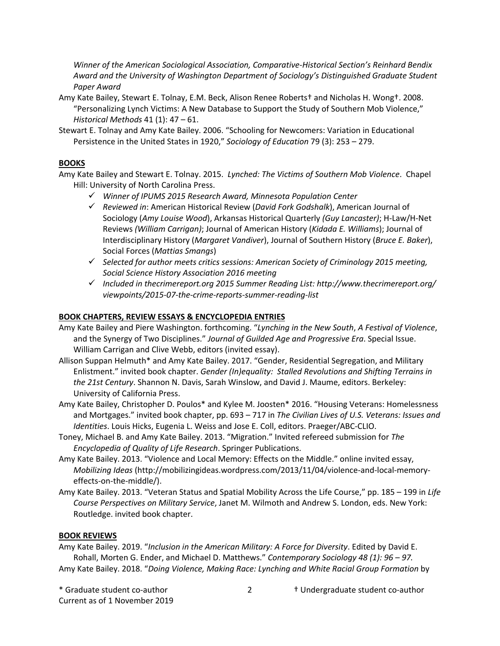*Winner of the American Sociological Association, Comparative-Historical Section's Reinhard Bendix Award and the University of Washington Department of Sociology's Distinguished Graduate Student Paper Award*

Amy Kate Bailey, Stewart E. Tolnay, E.M. Beck, Alison Renee Roberts† and Nicholas H. Wong†. 2008. "Personalizing Lynch Victims: A New Database to Support the Study of Southern Mob Violence," *Historical Methods* 41 (1): 47 – 61.

Stewart E. Tolnay and Amy Kate Bailey. 2006. "Schooling for Newcomers: Variation in Educational Persistence in the United States in 1920," *Sociology of Education* 79 (3): 253 – 279.

### **BOOKS**

Amy Kate Bailey and Stewart E. Tolnay. 2015. *Lynched: The Victims of Southern Mob Violence*. Chapel Hill: University of North Carolina Press.

- ü *Winner of IPUMS 2015 Research Award, Minnesota Population Center*
- ü *Reviewed in*: American Historical Review (*David Fork Godshalk*), American Journal of Sociology (*Amy Louise Wood*), Arkansas Historical Quarterly *(Guy Lancaster)*; H-Law/H-Net Reviews *(William Carrigan)*; Journal of American History (*Kidada E. Williams*); Journal of Interdisciplinary History (*Margaret Vandiver*), Journal of Southern History (*Bruce E. Baker*), Social Forces (*Mattias Smangs*)
- ü *Selected for author meets critics sessions: American Society of Criminology 2015 meeting, Social Science History Association 2016 meeting*
- ü *Included in thecrimereport.org 2015 Summer Reading List: http://www.thecrimereport.org/ viewpoints/2015-07-the-crime-reports-summer-reading-list*

### **BOOK CHAPTERS, REVIEW ESSAYS & ENCYCLOPEDIA ENTRIES**

- Amy Kate Bailey and Piere Washington. forthcoming. "*Lynching in the New South*, *A Festival of Violence*, and the Synergy of Two Disciplines." *Journal of Guilded Age and Progressive Era*. Special Issue. William Carrigan and Clive Webb, editors (invited essay).
- Allison Suppan Helmuth\* and Amy Kate Bailey. 2017. "Gender, Residential Segregation, and Military Enlistment." invited book chapter. *Gender (In)equality: Stalled Revolutions and Shifting Terrains in the 21st Century*. Shannon N. Davis, Sarah Winslow, and David J. Maume, editors. Berkeley: University of California Press.
- Amy Kate Bailey, Christopher D. Poulos\* and Kylee M. Joosten\* 2016. "Housing Veterans: Homelessness and Mortgages." invited book chapter, pp. 693 – 717 in *The Civilian Lives of U.S. Veterans: Issues and Identities*. Louis Hicks, Eugenia L. Weiss and Jose E. Coll, editors. Praeger/ABC-CLIO.
- Toney, Michael B. and Amy Kate Bailey. 2013. "Migration." Invited refereed submission for *The Encyclopedia of Quality of Life Research*. Springer Publications.
- Amy Kate Bailey. 2013. "Violence and Local Memory: Effects on the Middle." online invited essay, *Mobilizing Ideas* (http://mobilizingideas.wordpress.com/2013/11/04/violence-and-local-memoryeffects-on-the-middle/).
- Amy Kate Bailey. 2013. "Veteran Status and Spatial Mobility Across the Life Course," pp. 185 199 in *Life Course Perspectives on Military Service*, Janet M. Wilmoth and Andrew S. London, eds. New York: Routledge. invited book chapter.

#### **BOOK REVIEWS**

Amy Kate Bailey. 2019. "*Inclusion in the American Military: A Force for Diversity*. Edited by David E. Rohall, Morten G. Ender, and Michael D. Matthews." *Contemporary Sociology 48 (1): 96 – 97.* Amy Kate Bailey. 2018. "*Doing Violence, Making Race: Lynching and White Racial Group Formation* by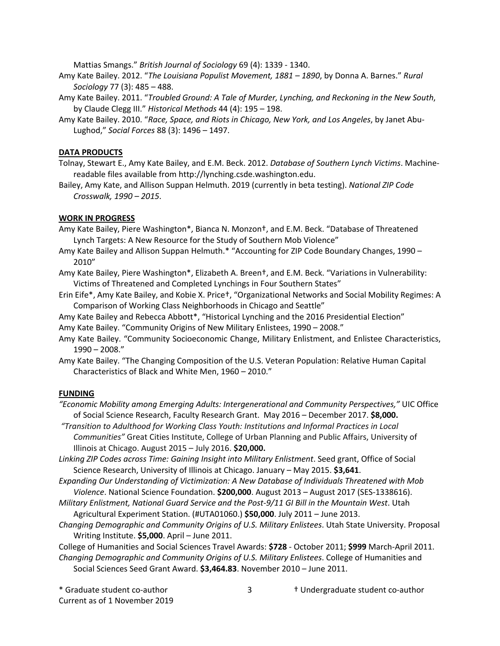Mattias Smangs." *British Journal of Sociology* 69 (4): 1339 - 1340.

- Amy Kate Bailey. 2012. "*The Louisiana Populist Movement, 1881 – 1890*, by Donna A. Barnes." *Rural Sociology* 77 (3): 485 – 488.
- Amy Kate Bailey. 2011. "*Troubled Ground: A Tale of Murder, Lynching, and Reckoning in the New South*, by Claude Clegg III." *Historical Methods* 44 (4): 195 – 198.
- Amy Kate Bailey. 2010. "*Race, Space, and Riots in Chicago, New York, and Los Angeles*, by Janet Abu-Lughod," *Social Forces* 88 (3): 1496 – 1497.

#### **DATA PRODUCTS**

Tolnay, Stewart E., Amy Kate Bailey, and E.M. Beck. 2012. *Database of Southern Lynch Victims*. Machinereadable files available from http://lynching.csde.washington.edu.

Bailey, Amy Kate, and Allison Suppan Helmuth. 2019 (currently in beta testing). *National ZIP Code Crosswalk, 1990 – 2015*.

#### **WORK IN PROGRESS**

- Amy Kate Bailey, Piere Washington\*, Bianca N. Monzon†, and E.M. Beck. "Database of Threatened Lynch Targets: A New Resource for the Study of Southern Mob Violence"
- Amy Kate Bailey and Allison Suppan Helmuth.\* "Accounting for ZIP Code Boundary Changes, 1990 -2010"
- Amy Kate Bailey, Piere Washington\*, Elizabeth A. Breen†, and E.M. Beck. "Variations in Vulnerability: Victims of Threatened and Completed Lynchings in Four Southern States"
- Erin Eife\*, Amy Kate Bailey, and Kobie X. Price†, "Organizational Networks and Social Mobility Regimes: A Comparison of Working Class Neighborhoods in Chicago and Seattle"
- Amy Kate Bailey and Rebecca Abbott\*, "Historical Lynching and the 2016 Presidential Election" Amy Kate Bailey. "Community Origins of New Military Enlistees, 1990 – 2008."
- Amy Kate Bailey. "Community Socioeconomic Change, Military Enlistment, and Enlistee Characteristics, 1990 – 2008."

Amy Kate Bailey. "The Changing Composition of the U.S. Veteran Population: Relative Human Capital Characteristics of Black and White Men, 1960 – 2010."

#### **FUNDING**

*"Economic Mobility among Emerging Adults: Intergenerational and Community Perspectives,"* UIC Office of Social Science Research, Faculty Research Grant. May 2016 – December 2017. **\$8,000.**

*"Transition to Adulthood for Working Class Youth: Institutions and Informal Practices in Local Communities"* Great Cities Institute, College of Urban Planning and Public Affairs, University of Illinois at Chicago. August 2015 – July 2016. **\$20,000.**

*Linking ZIP Codes across Time: Gaining Insight into Military Enlistment*. Seed grant, Office of Social Science Research, University of Illinois at Chicago. January – May 2015. **\$3,641**.

*Expanding Our Understanding of Victimization: A New Database of Individuals Threatened with Mob Violence*. National Science Foundation. **\$200,000**. August 2013 – August 2017 (SES-1338616).

- *Military Enlistment, National Guard Service and the Post-9/11 GI Bill in the Mountain West*. Utah Agricultural Experiment Station. (#UTA01060.) **\$50,000**. July 2011 – June 2013.
- *Changing Demographic and Community Origins of U.S. Military Enlistees*. Utah State University. Proposal Writing Institute. **\$5,000**. April – June 2011.

College of Humanities and Social Sciences Travel Awards: **\$728** - October 2011; **\$999** March-April 2011. *Changing Demographic and Community Origins of U.S. Military Enlistees*. College of Humanities and Social Sciences Seed Grant Award. **\$3,464.83**. November 2010 – June 2011.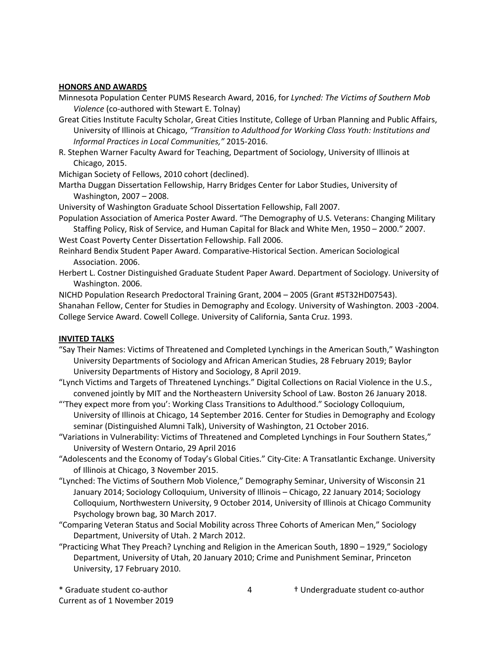#### **HONORS AND AWARDS**

- Minnesota Population Center PUMS Research Award, 2016, for *Lynched: The Victims of Southern Mob Violence* (co-authored with Stewart E. Tolnay)
- Great Cities Institute Faculty Scholar, Great Cities Institute, College of Urban Planning and Public Affairs, University of Illinois at Chicago, *"Transition to Adulthood for Working Class Youth: Institutions and Informal Practices in Local Communities,"* 2015-2016.
- R. Stephen Warner Faculty Award for Teaching, Department of Sociology, University of Illinois at Chicago, 2015.

Michigan Society of Fellows, 2010 cohort (declined).

Martha Duggan Dissertation Fellowship, Harry Bridges Center for Labor Studies, University of Washington, 2007 – 2008.

University of Washington Graduate School Dissertation Fellowship, Fall 2007.

Population Association of America Poster Award. "The Demography of U.S. Veterans: Changing Military Staffing Policy, Risk of Service, and Human Capital for Black and White Men, 1950 – 2000." 2007.

West Coast Poverty Center Dissertation Fellowship. Fall 2006.

- Reinhard Bendix Student Paper Award. Comparative-Historical Section. American Sociological Association. 2006.
- Herbert L. Costner Distinguished Graduate Student Paper Award. Department of Sociology. University of Washington. 2006.

NICHD Population Research Predoctoral Training Grant, 2004 – 2005 (Grant #5T32HD07543). Shanahan Fellow, Center for Studies in Demography and Ecology. University of Washington. 2003 -2004. College Service Award. Cowell College. University of California, Santa Cruz. 1993.

## **INVITED TALKS**

- "Say Their Names: Victims of Threatened and Completed Lynchings in the American South," Washington University Departments of Sociology and African American Studies, 28 February 2019; Baylor University Departments of History and Sociology, 8 April 2019.
- "Lynch Victims and Targets of Threatened Lynchings." Digital Collections on Racial Violence in the U.S., convened jointly by MIT and the Northeastern University School of Law. Boston 26 January 2018.
- "'They expect more from you': Working Class Transitions to Adulthood." Sociology Colloquium, University of Illinois at Chicago, 14 September 2016. Center for Studies in Demography and Ecology seminar (Distinguished Alumni Talk), University of Washington, 21 October 2016.
- "Variations in Vulnerability: Victims of Threatened and Completed Lynchings in Four Southern States," University of Western Ontario, 29 April 2016
- "Adolescents and the Economy of Today's Global Cities." City-Cite: A Transatlantic Exchange. University of Illinois at Chicago, 3 November 2015.
- "Lynched: The Victims of Southern Mob Violence," Demography Seminar, University of Wisconsin 21 January 2014; Sociology Colloquium, University of Illinois – Chicago, 22 January 2014; Sociology Colloquium, Northwestern University, 9 October 2014, University of Illinois at Chicago Community Psychology brown bag, 30 March 2017.
- "Comparing Veteran Status and Social Mobility across Three Cohorts of American Men," Sociology Department, University of Utah. 2 March 2012.
- "Practicing What They Preach? Lynching and Religion in the American South, 1890 1929," Sociology Department, University of Utah, 20 January 2010; Crime and Punishment Seminar, Princeton University, 17 February 2010.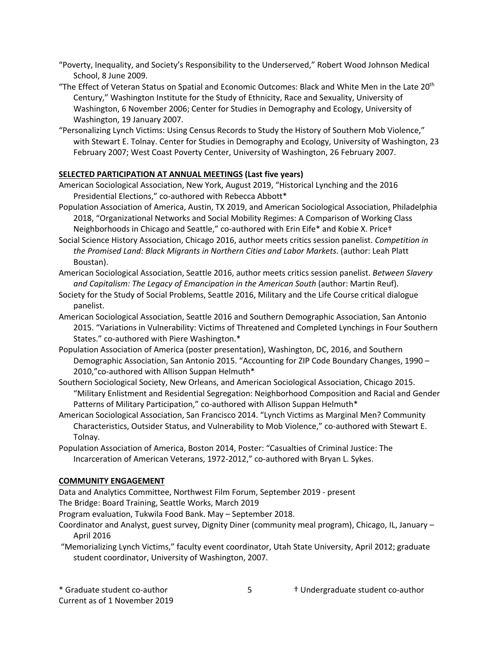- "Poverty, Inequality, and Society's Responsibility to the Underserved," Robert Wood Johnson Medical School, 8 June 2009.
- "The Effect of Veteran Status on Spatial and Economic Outcomes: Black and White Men in the Late 20<sup>th</sup> Century," Washington Institute for the Study of Ethnicity, Race and Sexuality, University of Washington, 6 November 2006; Center for Studies in Demography and Ecology, University of Washington, 19 January 2007.
- "Personalizing Lynch Victims: Using Census Records to Study the History of Southern Mob Violence," with Stewart E. Tolnay. Center for Studies in Demography and Ecology, University of Washington, 23 February 2007; West Coast Poverty Center, University of Washington, 26 February 2007.

## **SELECTED PARTICIPATION AT ANNUAL MEETINGS (Last five years)**

- American Sociological Association, New York, August 2019, "Historical Lynching and the 2016 Presidential Elections," co-authored with Rebecca Abbott\*
- Population Association of America, Austin, TX 2019, and American Sociological Association, Philadelphia 2018, "Organizational Networks and Social Mobility Regimes: A Comparison of Working Class Neighborhoods in Chicago and Seattle," co-authored with Erin Eife\* and Kobie X. Price†
- Social Science History Association, Chicago 2016, author meets critics session panelist. *Competition in the Promised Land: Black Migrants in Northern Cities and Labor Markets*. (author: Leah Platt Boustan).
- American Sociological Association, Seattle 2016, author meets critics session panelist. *Between Slavery and Capitalism: The Legacy of Emancipation in the American South* (author: Martin Reuf).
- Society for the Study of Social Problems, Seattle 2016, Military and the Life Course critical dialogue panelist.
- American Sociological Association, Seattle 2016 and Southern Demographic Association, San Antonio 2015. "Variations in Vulnerability: Victims of Threatened and Completed Lynchings in Four Southern States." co-authored with Piere Washington.\*
- Population Association of America (poster presentation), Washington, DC, 2016, and Southern Demographic Association, San Antonio 2015. "Accounting for ZIP Code Boundary Changes, 1990 – 2010,"co-authored with Allison Suppan Helmuth\*
- Southern Sociological Society, New Orleans, and American Sociological Association, Chicago 2015. "Military Enlistment and Residential Segregation: Neighborhood Composition and Racial and Gender Patterns of Military Participation," co-authored with Allison Suppan Helmuth\*
- American Sociological Association, San Francisco 2014. "Lynch Victims as Marginal Men? Community Characteristics, Outsider Status, and Vulnerability to Mob Violence," co-authored with Stewart E. Tolnay.
- Population Association of America, Boston 2014, Poster: "Casualties of Criminal Justice: The Incarceration of American Veterans, 1972-2012," co-authored with Bryan L. Sykes.

## **COMMUNITY ENGAGEMENT**

Data and Analytics Committee, Northwest Film Forum, September 2019 - present

- The Bridge: Board Training, Seattle Works, March 2019
- Program evaluation, Tukwila Food Bank. May September 2018.
- Coordinator and Analyst, guest survey, Dignity Diner (community meal program), Chicago, IL, January April 2016
- "Memorializing Lynch Victims," faculty event coordinator, Utah State University, April 2012; graduate student coordinator, University of Washington, 2007.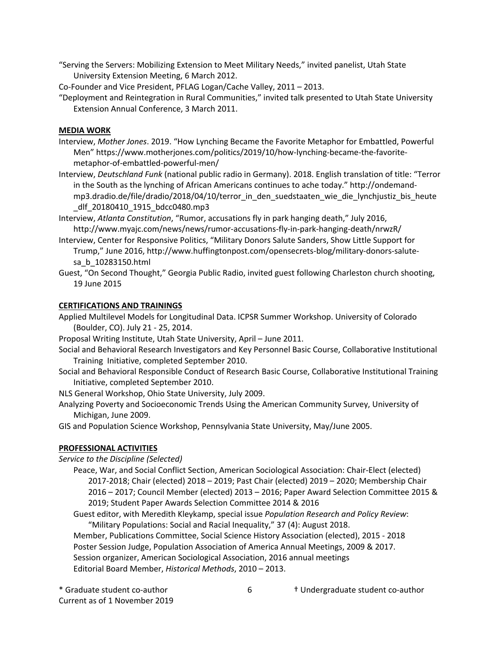"Serving the Servers: Mobilizing Extension to Meet Military Needs," invited panelist, Utah State University Extension Meeting, 6 March 2012.

Co-Founder and Vice President, PFLAG Logan/Cache Valley, 2011 – 2013.

"Deployment and Reintegration in Rural Communities," invited talk presented to Utah State University Extension Annual Conference, 3 March 2011.

### **MEDIA WORK**

- Interview, *Mother Jones*. 2019. "How Lynching Became the Favorite Metaphor for Embattled, Powerful Men" https://www.motherjones.com/politics/2019/10/how-lynching-became-the-favoritemetaphor-of-embattled-powerful-men/
- Interview, *Deutschland Funk* (national public radio in Germany). 2018. English translation of title: "Terror in the South as the lynching of African Americans continues to ache today." http://ondemandmp3.dradio.de/file/dradio/2018/04/10/terror\_in\_den\_suedstaaten\_wie\_die\_lynchjustiz\_bis\_heute \_dlf\_20180410\_1915\_bdcc0480.mp3
- Interview, *Atlanta Constitution*, "Rumor, accusations fly in park hanging death," July 2016, http://www.myajc.com/news/news/rumor-accusations-fly-in-park-hanging-death/nrwzR/
- Interview, Center for Responsive Politics, "Military Donors Salute Sanders, Show Little Support for Trump," June 2016, http://www.huffingtonpost.com/opensecrets-blog/military-donors-salutesa\_b\_10283150.html
- Guest, "On Second Thought," Georgia Public Radio, invited guest following Charleston church shooting, 19 June 2015

### **CERTIFICATIONS AND TRAININGS**

Applied Multilevel Models for Longitudinal Data. ICPSR Summer Workshop. University of Colorado (Boulder, CO). July 21 - 25, 2014.

Proposal Writing Institute, Utah State University, April – June 2011.

- Social and Behavioral Research Investigators and Key Personnel Basic Course, Collaborative Institutional Training Initiative, completed September 2010.
- Social and Behavioral Responsible Conduct of Research Basic Course, Collaborative Institutional Training Initiative, completed September 2010.

NLS General Workshop, Ohio State University, July 2009.

Analyzing Poverty and Socioeconomic Trends Using the American Community Survey, University of Michigan, June 2009.

GIS and Population Science Workshop, Pennsylvania State University, May/June 2005.

## **PROFESSIONAL ACTIVITIES**

*Service to the Discipline (Selected)*

Peace, War, and Social Conflict Section, American Sociological Association: Chair-Elect (elected) 2017-2018; Chair (elected) 2018 – 2019; Past Chair (elected) 2019 – 2020; Membership Chair 2016 – 2017; Council Member (elected) 2013 – 2016; Paper Award Selection Committee 2015 & 2019; Student Paper Awards Selection Committee 2014 & 2016

Guest editor, with Meredith Kleykamp, special issue *Population Research and Policy Review*: "Military Populations: Social and Racial Inequality," 37 (4): August 2018.

Member, Publications Committee, Social Science History Association (elected), 2015 - 2018 Poster Session Judge, Population Association of America Annual Meetings, 2009 & 2017. Session organizer, American Sociological Association, 2016 annual meetings Editorial Board Member, *Historical Methods*, 2010 – 2013.

\* Graduate student co-author † Undergraduate student co-author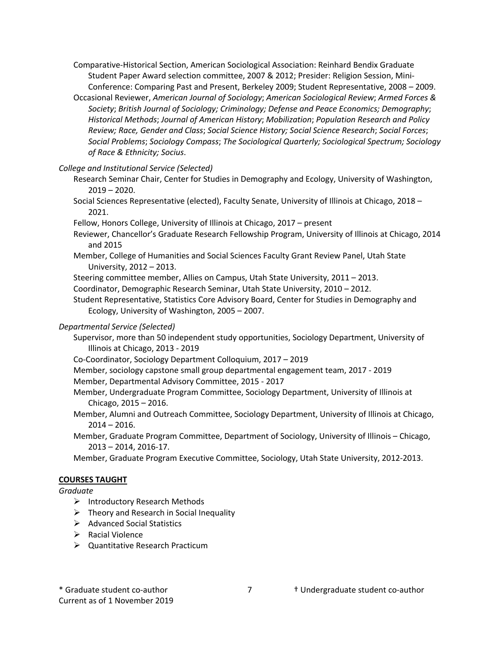- Comparative-Historical Section, American Sociological Association: Reinhard Bendix Graduate Student Paper Award selection committee, 2007 & 2012; Presider: Religion Session, Mini-Conference: Comparing Past and Present, Berkeley 2009; Student Representative, 2008 – 2009.
- Occasional Reviewer, *American Journal of Sociology*; *American Sociological Review*; *Armed Forces & Society*; *British Journal of Sociology; Criminology; Defense and Peace Economics; Demography*; *Historical Methods*; *Journal of American History*; *Mobilization*; *Population Research and Policy Review; Race, Gender and Class*; *Social Science History; Social Science Research*; *Social Forces*; *Social Problems*; *Sociology Compass*; *The Sociological Quarterly; Sociological Spectrum; Sociology of Race & Ethnicity; Socius*.

## *College and Institutional Service (Selected)*

- Research Seminar Chair, Center for Studies in Demography and Ecology, University of Washington, 2019 – 2020.
- Social Sciences Representative (elected), Faculty Senate, University of Illinois at Chicago, 2018 2021.
- Fellow, Honors College, University of Illinois at Chicago, 2017 present
- Reviewer, Chancellor's Graduate Research Fellowship Program, University of Illinois at Chicago, 2014 and 2015
- Member, College of Humanities and Social Sciences Faculty Grant Review Panel, Utah State University, 2012 – 2013.
- Steering committee member, Allies on Campus, Utah State University, 2011 2013.
- Coordinator, Demographic Research Seminar, Utah State University, 2010 2012.
- Student Representative, Statistics Core Advisory Board, Center for Studies in Demography and Ecology, University of Washington, 2005 – 2007.

# *Departmental Service (Selected)*

- Supervisor, more than 50 independent study opportunities, Sociology Department, University of Illinois at Chicago, 2013 - 2019
- Co-Coordinator, Sociology Department Colloquium, 2017 2019
- Member, sociology capstone small group departmental engagement team, 2017 2019
- Member, Departmental Advisory Committee, 2015 2017
- Member, Undergraduate Program Committee, Sociology Department, University of Illinois at Chicago, 2015 – 2016.
- Member, Alumni and Outreach Committee, Sociology Department, University of Illinois at Chicago, 2014 – 2016.
- Member, Graduate Program Committee, Department of Sociology, University of Illinois Chicago, 2013 – 2014, 2016-17.
- Member, Graduate Program Executive Committee, Sociology, Utah State University, 2012-2013.

## **COURSES TAUGHT**

## *Graduate*

- Ø Introductory Research Methods
- $\triangleright$  Theory and Research in Social Inequality
- $\triangleright$  Advanced Social Statistics
- $\triangleright$  Racial Violence
- $\triangleright$  Quantitative Research Practicum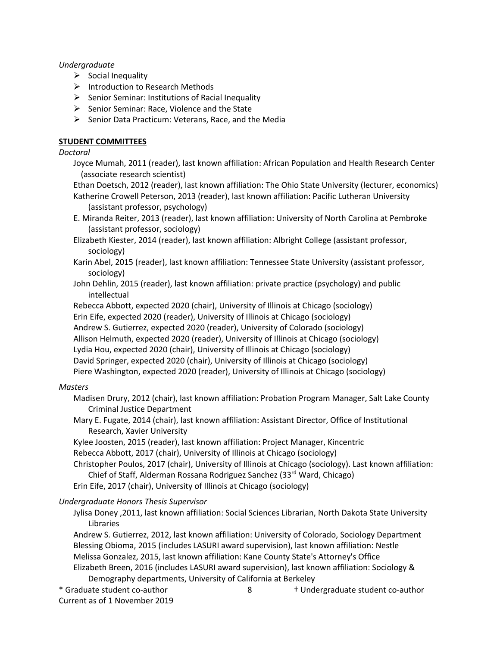## *Undergraduate*

- $\triangleright$  Social Inequality
- $\triangleright$  Introduction to Research Methods
- $\triangleright$  Senior Seminar: Institutions of Racial Inequality
- $\triangleright$  Senior Seminar: Race, Violence and the State
- $\triangleright$  Senior Data Practicum: Veterans, Race, and the Media

## **STUDENT COMMITTEES**

## *Doctoral*

Joyce Mumah, 2011 (reader), last known affiliation: African Population and Health Research Center (associate research scientist)

Ethan Doetsch, 2012 (reader), last known affiliation: The Ohio State University (lecturer, economics) Katherine Crowell Peterson, 2013 (reader), last known affiliation: Pacific Lutheran University (assistant professor, psychology)

- E. Miranda Reiter, 2013 (reader), last known affiliation: University of North Carolina at Pembroke (assistant professor, sociology)
- Elizabeth Kiester, 2014 (reader), last known affiliation: Albright College (assistant professor, sociology)
- Karin Abel, 2015 (reader), last known affiliation: Tennessee State University (assistant professor, sociology)
- John Dehlin, 2015 (reader), last known affiliation: private practice (psychology) and public intellectual

Rebecca Abbott, expected 2020 (chair), University of Illinois at Chicago (sociology) Erin Eife, expected 2020 (reader), University of Illinois at Chicago (sociology) Andrew S. Gutierrez, expected 2020 (reader), University of Colorado (sociology) Allison Helmuth, expected 2020 (reader), University of Illinois at Chicago (sociology) Lydia Hou, expected 2020 (chair), University of Illinois at Chicago (sociology) David Springer, expected 2020 (chair), University of Illinois at Chicago (sociology) Piere Washington, expected 2020 (reader), University of Illinois at Chicago (sociology)

## *Masters*

Madisen Drury, 2012 (chair), last known affiliation: Probation Program Manager, Salt Lake County Criminal Justice Department

- Mary E. Fugate, 2014 (chair), last known affiliation: Assistant Director, Office of Institutional Research, Xavier University
- Kylee Joosten, 2015 (reader), last known affiliation: Project Manager, Kincentric

Rebecca Abbott, 2017 (chair), University of Illinois at Chicago (sociology)

- Christopher Poulos, 2017 (chair), University of Illinois at Chicago (sociology). Last known affiliation: Chief of Staff, Alderman Rossana Rodriguez Sanchez (33<sup>rd</sup> Ward, Chicago)
- Erin Eife, 2017 (chair), University of Illinois at Chicago (sociology)

## *Undergraduate Honors Thesis Supervisor*

Jylisa Doney ,2011, last known affiliation: Social Sciences Librarian, North Dakota State University Libraries

Andrew S. Gutierrez, 2012, last known affiliation: University of Colorado, Sociology Department Blessing Obioma, 2015 (includes LASURI award supervision), last known affiliation: Nestle Melissa Gonzalez, 2015, last known affiliation: Kane County State's Attorney's Office Elizabeth Breen, 2016 (includes LASURI award supervision), last known affiliation: Sociology & Demography departments, University of California at Berkeley

\* Graduate student co-author † Undergraduate student co-author

Current as of 1 November 2019